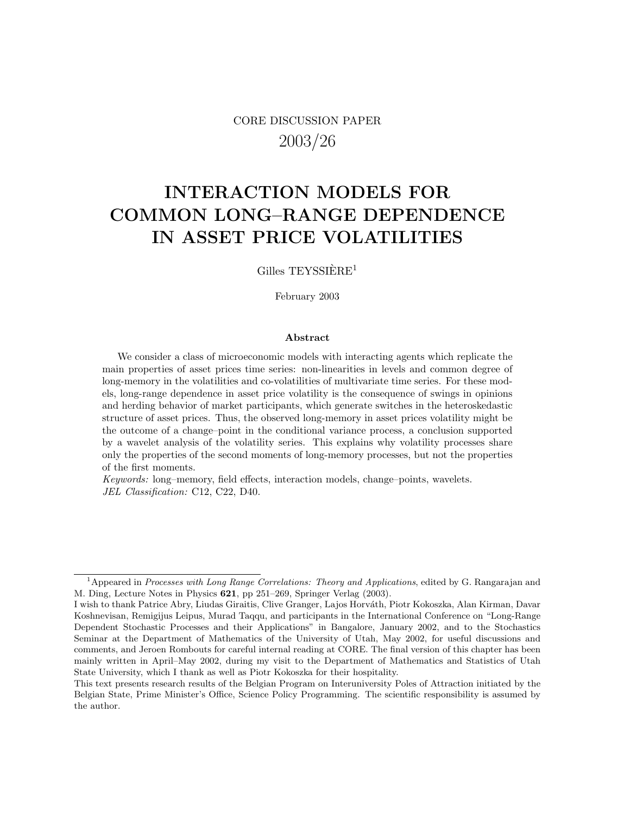## CORE DISCUSSION PAPER 2003/26

# INTERACTION MODELS FOR COMMON LONG–RANGE DEPENDENCE IN ASSET PRICE VOLATILITIES

Gilles  $T E Y S S I E R E<sup>1</sup>$ 

February 2003

#### Abstract

We consider a class of microeconomic models with interacting agents which replicate the main properties of asset prices time series: non-linearities in levels and common degree of long-memory in the volatilities and co-volatilities of multivariate time series. For these models, long-range dependence in asset price volatility is the consequence of swings in opinions and herding behavior of market participants, which generate switches in the heteroskedastic structure of asset prices. Thus, the observed long-memory in asset prices volatility might be the outcome of a change–point in the conditional variance process, a conclusion supported by a wavelet analysis of the volatility series. This explains why volatility processes share only the properties of the second moments of long-memory processes, but not the properties of the first moments.

*Keywords:* long–memory, field effects, interaction models, change–points, wavelets. *JEL Classification:* C12, C22, D40.

 $1$ Appeared in Processes with Long Range Correlations: Theory and Applications, edited by G. Rangarajan and M. Ding, Lecture Notes in Physics 621, pp 251–269, Springer Verlag (2003).

I wish to thank Patrice Abry, Liudas Giraitis, Clive Granger, Lajos Horváth, Piotr Kokoszka, Alan Kirman, Davar Koshnevisan, Remigijus Leipus, Murad Taqqu, and participants in the International Conference on "Long-Range Dependent Stochastic Processes and their Applications" in Bangalore, January 2002, and to the Stochastics Seminar at the Department of Mathematics of the University of Utah, May 2002, for useful discussions and comments, and Jeroen Rombouts for careful internal reading at CORE. The final version of this chapter has been mainly written in April–May 2002, during my visit to the Department of Mathematics and Statistics of Utah State University, which I thank as well as Piotr Kokoszka for their hospitality.

This text presents research results of the Belgian Program on Interuniversity Poles of Attraction initiated by the Belgian State, Prime Minister's Office, Science Policy Programming. The scientific responsibility is assumed by the author.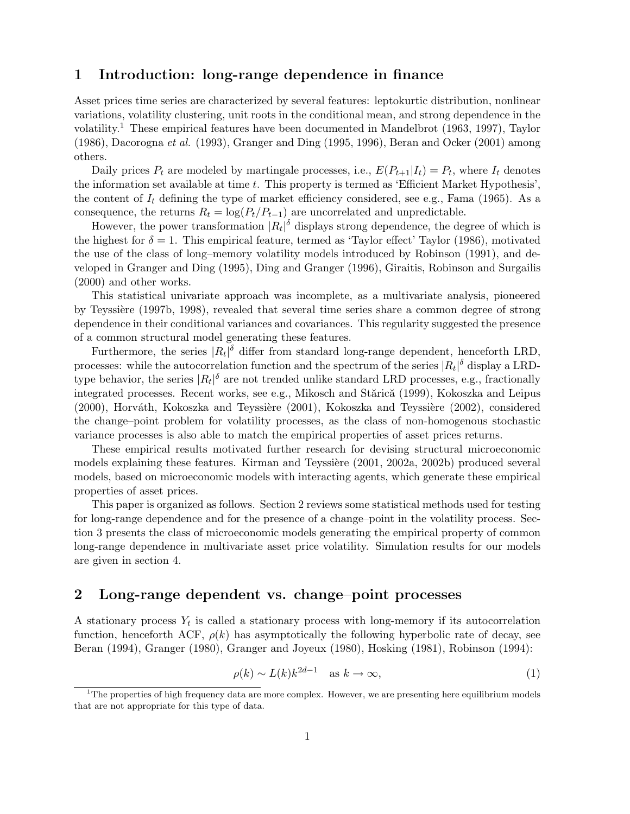## 1 Introduction: long-range dependence in finance

Asset prices time series are characterized by several features: leptokurtic distribution, nonlinear variations, volatility clustering, unit roots in the conditional mean, and strong dependence in the volatility.<sup>1</sup> These empirical features have been documented in Mandelbrot (1963, 1997), Taylor (1986), Dacorogna *et al.* (1993), Granger and Ding (1995, 1996), Beran and Ocker (2001) among others.

Daily prices  $P_t$  are modeled by martingale processes, i.e.,  $E(P_{t+1}|I_t) = P_t$ , where  $I_t$  denotes the information set available at time t. This property is termed as 'Efficient Market Hypothesis', the content of  $I_t$  defining the type of market efficiency considered, see e.g., Fama (1965). As a consequence, the returns  $R_t = \log(P_t/P_{t-1})$  are uncorrelated and unpredictable.

However, the power transformation  $|R_t|^{\delta}$  displays strong dependence, the degree of which is the highest for  $\delta = 1$ . This empirical feature, termed as 'Taylor effect' Taylor (1986), motivated the use of the class of long–memory volatility models introduced by Robinson (1991), and developed in Granger and Ding (1995), Ding and Granger (1996), Giraitis, Robinson and Surgailis (2000) and other works.

This statistical univariate approach was incomplete, as a multivariate analysis, pioneered by Teyssière (1997b, 1998), revealed that several time series share a common degree of strong dependence in their conditional variances and covariances. This regularity suggested the presence of a common structural model generating these features.

Furthermore, the series  $|R_t|^{\delta}$  differ from standard long-range dependent, henceforth LRD, processes: while the autocorrelation function and the spectrum of the series  $|R_t|^{\delta}$  display a LRDtype behavior, the series  $|R_t|^{\delta}$  are not trended unlike standard LRD processes, e.g., fractionally integrated processes. Recent works, see e.g., Mikosch and Stărică (1999), Kokoszka and Leipus (2000), Horváth, Kokoszka and Teyssière (2001), Kokoszka and Teyssière (2002), considered the change–point problem for volatility processes, as the class of non-homogenous stochastic variance processes is also able to match the empirical properties of asset prices returns.

These empirical results motivated further research for devising structural microeconomic models explaining these features. Kirman and Teyssière (2001, 2002a, 2002b) produced several models, based on microeconomic models with interacting agents, which generate these empirical properties of asset prices.

This paper is organized as follows. Section 2 reviews some statistical methods used for testing for long-range dependence and for the presence of a change–point in the volatility process. Section 3 presents the class of microeconomic models generating the empirical property of common long-range dependence in multivariate asset price volatility. Simulation results for our models are given in section 4.

## 2 Long-range dependent vs. change–point processes

A stationary process  $Y_t$  is called a stationary process with long-memory if its autocorrelation function, henceforth ACF,  $\rho(k)$  has asymptotically the following hyperbolic rate of decay, see Beran (1994), Granger (1980), Granger and Joyeux (1980), Hosking (1981), Robinson (1994):

$$
\rho(k) \sim L(k)k^{2d-1} \quad \text{as } k \to \infty,
$$
\n(1)

 $1$ The properties of high frequency data are more complex. However, we are presenting here equilibrium models that are not appropriate for this type of data.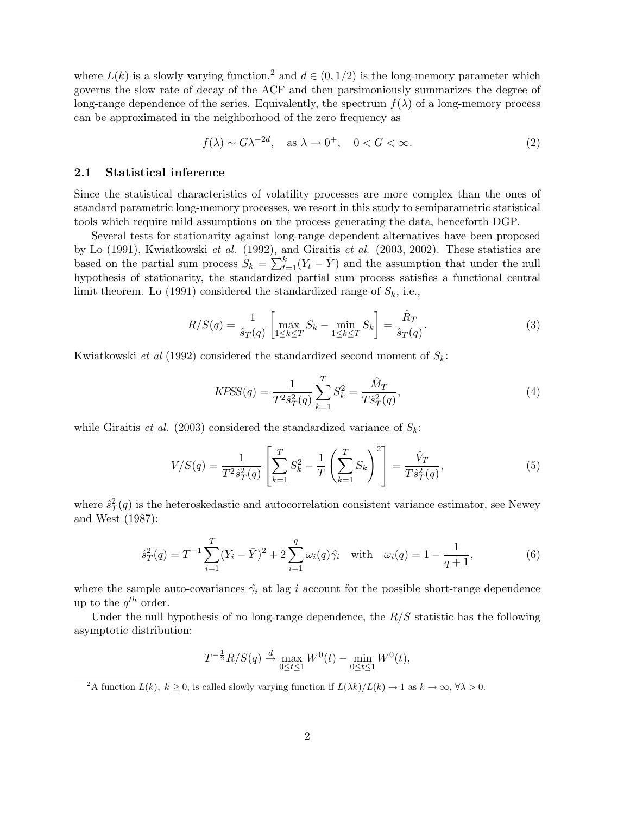where  $L(k)$  is a slowly varying function,<sup>2</sup> and  $d \in (0, 1/2)$  is the long-memory parameter which governs the slow rate of decay of the ACF and then parsimoniously summarizes the degree of long-range dependence of the series. Equivalently, the spectrum  $f(\lambda)$  of a long-memory process can be approximated in the neighborhood of the zero frequency as

$$
f(\lambda) \sim G\lambda^{-2d}, \quad \text{as } \lambda \to 0^+, \quad 0 < G < \infty. \tag{2}
$$

#### 2.1 Statistical inference

Since the statistical characteristics of volatility processes are more complex than the ones of standard parametric long-memory processes, we resort in this study to semiparametric statistical tools which require mild assumptions on the process generating the data, henceforth DGP.

Several tests for stationarity against long-range dependent alternatives have been proposed by Lo (1991), Kwiatkowski *et al.* (1992), and Giraitis *et al.* (2003, 2002). These statistics are based on the partial sum process  $S_k = \sum_{t=1}^k (Y_t - \bar{Y})$  and the assumption that under the null hypothesis of stationarity, the standardized partial sum process satisfies a functional central limit theorem. Lo (1991) considered the standardized range of  $S_k$ , i.e.,

$$
R/S(q) = \frac{1}{\hat{s}_T(q)} \left[ \max_{1 \le k \le T} S_k - \min_{1 \le k \le T} S_k \right] = \frac{\hat{R}_T}{\hat{s}_T(q)}.
$$
 (3)

Kwiatkowski *et al* (1992) considered the standardized second moment of  $S_k$ :

$$
KPSS(q) = \frac{1}{T^2 \hat{s}_T^2(q)} \sum_{k=1}^T S_k^2 = \frac{\hat{M}_T}{T \hat{s}_T^2(q)},
$$
\n(4)

while Giraitis *et al.* (2003) considered the standardized variance of  $S_k$ :

$$
V/S(q) = \frac{1}{T^2 \hat{s}_T^2(q)} \left[ \sum_{k=1}^T S_k^2 - \frac{1}{T} \left( \sum_{k=1}^T S_k \right)^2 \right] = \frac{\hat{V}_T}{T \hat{s}_T^2(q)},\tag{5}
$$

where  $\hat{s}_T^2(q)$  is the heteroskedastic and autocorrelation consistent variance estimator, see Newey and West (1987):

$$
\hat{s}_T^2(q) = T^{-1} \sum_{i=1}^T (Y_i - \bar{Y})^2 + 2 \sum_{i=1}^q \omega_i(q) \hat{\gamma}_i \quad \text{with} \quad \omega_i(q) = 1 - \frac{1}{q+1},\tag{6}
$$

where the sample auto-covariances  $\hat{\gamma}_i$  at lag i account for the possible short-range dependence up to the  $q^{th}$  order.

Under the null hypothesis of no long-range dependence, the  $R/S$  statistic has the following asymptotic distribution:

$$
T^{-\frac{1}{2}}R/S(q) \stackrel{d}{\to} \max_{0 \le t \le 1} W^0(t) - \min_{0 \le t \le 1} W^0(t),
$$

<sup>2</sup>A function  $L(k)$ ,  $k \geq 0$ , is called slowly varying function if  $L(\lambda k)/L(k) \to 1$  as  $k \to \infty$ ,  $\forall \lambda > 0$ .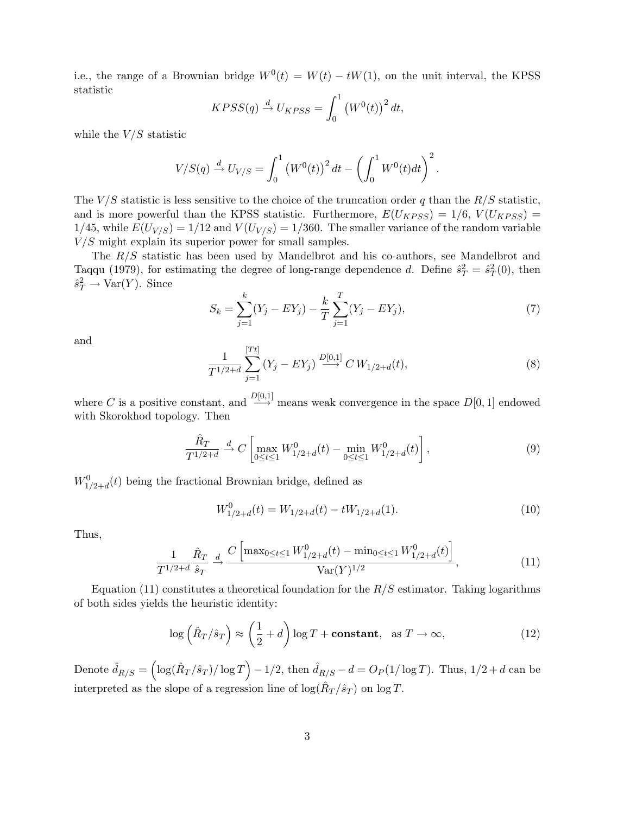i.e., the range of a Brownian bridge  $W^0(t) = W(t) - tW(1)$ , on the unit interval, the KPSS statistic

$$
KPSS(q) \stackrel{d}{\rightarrow} U_{KPSS} = \int_0^1 (W^0(t))^2 dt,
$$

while the  $V/S$  statistic

$$
V/S(q) \stackrel{d}{\to} U_{V/S} = \int_0^1 (W^0(t))^2 dt - \left(\int_0^1 W^0(t) dt\right)^2.
$$

The  $V/S$  statistic is less sensitive to the choice of the truncation order q than the  $R/S$  statistic, and is more powerful than the KPSS statistic. Furthermore,  $E(U_{KPSS}) = 1/6$ ,  $V(U_{KPSS}) =$ 1/45, while  $E(U_{V/S}) = 1/12$  and  $V(U_{V/S}) = 1/360$ . The smaller variance of the random variable  $V/S$  might explain its superior power for small samples.

The R/S statistic has been used by Mandelbrot and his co-authors, see Mandelbrot and Taqqu (1979), for estimating the degree of long-range dependence d. Define  $\hat{s}_T^2 = \hat{s}_T^2(0)$ , then  $\hat{s}_T^2 \to \text{Var}(Y)$ . Since

$$
S_k = \sum_{j=1}^k (Y_j - EY_j) - \frac{k}{T} \sum_{j=1}^T (Y_j - EY_j),\tag{7}
$$

and

$$
\frac{1}{T^{1/2+d}}\sum_{j=1}^{[Tt]} (Y_j - EY_j) \xrightarrow{D[0,1]} C W_{1/2+d}(t),\tag{8}
$$

where C is a positive constant, and  $\frac{D[0,1]}{\longrightarrow}$  means weak convergence in the space  $D[0,1]$  endowed with Skorokhod topology. Then

$$
\frac{\hat{R}_T}{T^{1/2+d}} \stackrel{d}{\to} C \left[ \max_{0 \le t \le 1} W_{1/2+d}^0(t) - \min_{0 \le t \le 1} W_{1/2+d}^0(t) \right],\tag{9}
$$

 $W^0_{1/2+d}(t)$  being the fractional Brownian bridge, defined as

$$
W_{1/2+d}^{0}(t) = W_{1/2+d}(t) - tW_{1/2+d}(1).
$$
\n(10)

Thus,

$$
\frac{1}{T^{1/2+d}} \frac{\hat{R}_T}{\hat{s}_T} \xrightarrow{d} \frac{C \left[ \max_{0 \le t \le 1} W_{1/2+d}^0(t) - \min_{0 \le t \le 1} W_{1/2+d}^0(t) \right]}{\text{Var}(Y)^{1/2}}, \tag{11}
$$

Equation (11) constitutes a theoretical foundation for the  $R/S$  estimator. Taking logarithms of both sides yields the heuristic identity:

$$
\log\left(\hat{R}_T/\hat{s}_T\right) \approx \left(\frac{1}{2} + d\right)\log T + \text{constant}, \text{ as } T \to \infty,
$$
\n(12)

Denote  $\hat{d}_{R/S} = \left(\log(\hat{R}_T/\hat{s}_T)/\log T\right) - 1/2$ , then  $\hat{d}_{R/S} - d = O_P(1/\log T)$ . Thus,  $1/2 + d$  can be interpreted as the slope of a regression line of  $\log(\hat{R}_T/\hat{s}_T)$  on  $\log T$ .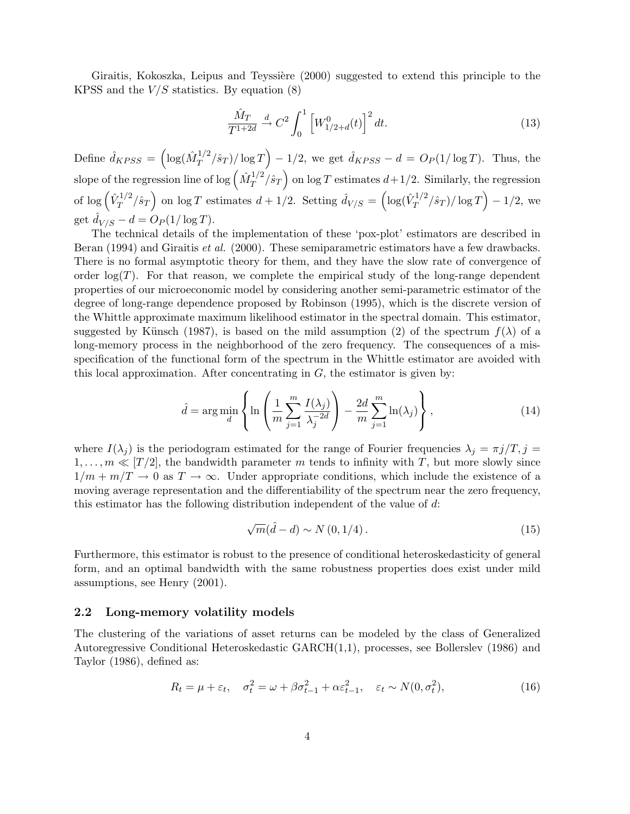Giraitis, Kokoszka, Leipus and Teyssière (2000) suggested to extend this principle to the KPSS and the  $V/S$  statistics. By equation (8)

$$
\frac{\hat{M}_T}{T^{1+2d}} \xrightarrow{d} C^2 \int_0^1 \left[ W_{1/2+d}^0(t) \right]^2 dt. \tag{13}
$$

Define  $\hat{d}_{KPSS} = \left(\log(\hat{M}_T^{1/2})\right)$  $\int_T^{1/2} (\hat{s}_T) / \log T$   $- 1/2$ , we get  $\hat{d}_{KPSS} - d = O_P(1/\log T)$ . Thus, the slope of the regression line of log  $\left(\hat{M}_T^{1/2}\right)$  $\int_T^{1/2} \hat{s}_T$  on log T estimates  $d+1/2$ . Similarly, the regression of  $\log \left( \hat{V}_{T}^{1/2} \right)$  $\int_T^{1/2} \hat{s}_T$  on log T estimates  $d + 1/2$ . Setting  $\hat{d}_{V/S} = \left(\log(\hat{V}_T^{1/2})\right)$  $T^{1/2}/\hat{s}_T$  /  $\log T$   $-$  1/2, we get  $d_{V/S} - d = O_P(1/\log T)$ .

The technical details of the implementation of these 'pox-plot' estimators are described in Beran (1994) and Giraitis *et al.* (2000). These semiparametric estimators have a few drawbacks. There is no formal asymptotic theory for them, and they have the slow rate of convergence of order  $log(T)$ . For that reason, we complete the empirical study of the long-range dependent properties of our microeconomic model by considering another semi-parametric estimator of the degree of long-range dependence proposed by Robinson (1995), which is the discrete version of the Whittle approximate maximum likelihood estimator in the spectral domain. This estimator, suggested by Künsch (1987), is based on the mild assumption (2) of the spectrum  $f(\lambda)$  of a long-memory process in the neighborhood of the zero frequency. The consequences of a misspecification of the functional form of the spectrum in the Whittle estimator are avoided with this local approximation. After concentrating in  $G$ , the estimator is given by:

$$
\hat{d} = \arg\min_{d} \left\{ \ln \left( \frac{1}{m} \sum_{j=1}^{m} \frac{I(\lambda_j)}{\lambda_j^{-2d}} \right) - \frac{2d}{m} \sum_{j=1}^{m} \ln(\lambda_j) \right\},\tag{14}
$$

where  $I(\lambda_j)$  is the periodogram estimated for the range of Fourier frequencies  $\lambda_j = \pi j/T, j =$  $1, \ldots, m \ll [T/2]$ , the bandwidth parameter m tends to infinity with T, but more slowly since  $1/m + m/T \to 0$  as  $T \to \infty$ . Under appropriate conditions, which include the existence of a moving average representation and the differentiability of the spectrum near the zero frequency, this estimator has the following distribution independent of the value of  $d$ :

$$
\sqrt{m}(\hat{d}-d) \sim N(0,1/4). \tag{15}
$$

Furthermore, this estimator is robust to the presence of conditional heteroskedasticity of general form, and an optimal bandwidth with the same robustness properties does exist under mild assumptions, see Henry (2001).

#### 2.2 Long-memory volatility models

The clustering of the variations of asset returns can be modeled by the class of Generalized Autoregressive Conditional Heteroskedastic GARCH(1,1), processes, see Bollerslev (1986) and Taylor (1986), defined as:

$$
R_t = \mu + \varepsilon_t, \quad \sigma_t^2 = \omega + \beta \sigma_{t-1}^2 + \alpha \varepsilon_{t-1}^2, \quad \varepsilon_t \sim N(0, \sigma_t^2), \tag{16}
$$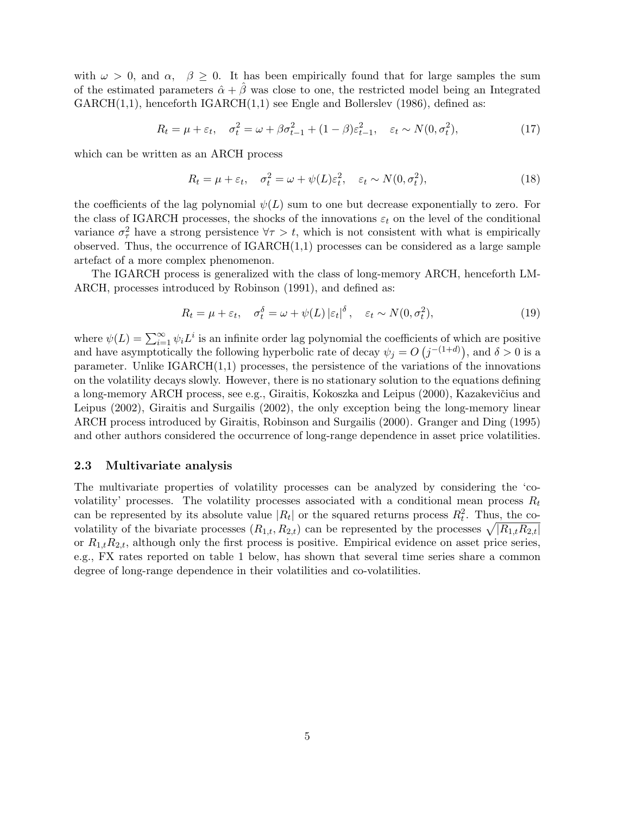with  $\omega > 0$ , and  $\alpha$ ,  $\beta \geq 0$ . It has been empirically found that for large samples the sum of the estimated parameters  $\hat{\alpha} + \hat{\beta}$  was close to one, the restricted model being an Integrated  $GARCH(1,1)$ , henceforth  $IGARCH(1,1)$  see Engle and Bollerslev (1986), defined as:

$$
R_t = \mu + \varepsilon_t, \quad \sigma_t^2 = \omega + \beta \sigma_{t-1}^2 + (1 - \beta) \varepsilon_{t-1}^2, \quad \varepsilon_t \sim N(0, \sigma_t^2), \tag{17}
$$

which can be written as an ARCH process

$$
R_t = \mu + \varepsilon_t, \quad \sigma_t^2 = \omega + \psi(L)\varepsilon_t^2, \quad \varepsilon_t \sim N(0, \sigma_t^2), \tag{18}
$$

the coefficients of the lag polynomial  $\psi(L)$  sum to one but decrease exponentially to zero. For the class of IGARCH processes, the shocks of the innovations  $\varepsilon_t$  on the level of the conditional variance  $\sigma_{\tau}^2$  have a strong persistence  $\forall \tau > t$ , which is not consistent with what is empirically observed. Thus, the occurrence of  $IGARCH(1,1)$  processes can be considered as a large sample artefact of a more complex phenomenon.

The IGARCH process is generalized with the class of long-memory ARCH, henceforth LM-ARCH, processes introduced by Robinson (1991), and defined as:

$$
R_t = \mu + \varepsilon_t, \quad \sigma_t^{\delta} = \omega + \psi(L) \left| \varepsilon_t \right|^{\delta}, \quad \varepsilon_t \sim N(0, \sigma_t^2), \tag{19}
$$

where  $\psi(L) = \sum_{i=1}^{\infty} \psi_i L^i$  is an infinite order lag polynomial the coefficients of which are positive and have asymptotically the following hyperbolic rate of decay  $\psi_j = O(j^{-(1+d)})$ , and  $\delta > 0$  is a parameter. Unlike  $IGARCH(1,1)$  processes, the persistence of the variations of the innovations on the volatility decays slowly. However, there is no stationary solution to the equations defining a long-memory ARCH process, see e.g., Giraitis, Kokoszka and Leipus (2000), Kazakevičius and Leipus (2002), Giraitis and Surgailis (2002), the only exception being the long-memory linear ARCH process introduced by Giraitis, Robinson and Surgailis (2000). Granger and Ding (1995) and other authors considered the occurrence of long-range dependence in asset price volatilities.

#### 2.3 Multivariate analysis

The multivariate properties of volatility processes can be analyzed by considering the 'covolatility' processes. The volatility processes associated with a conditional mean process  $R_t$ can be represented by its absolute value  $|R_t|$  or the squared returns process  $R_t^2$ . Thus, the covolatility of the bivariate processes  $(R_{1,t}, R_{2,t})$  can be represented by the processes  $\sqrt{|R_{1,t}R_{2,t}|}$ or  $R_{1,t}R_{2,t}$ , although only the first process is positive. Empirical evidence on asset price series, e.g., FX rates reported on table 1 below, has shown that several time series share a common degree of long-range dependence in their volatilities and co-volatilities.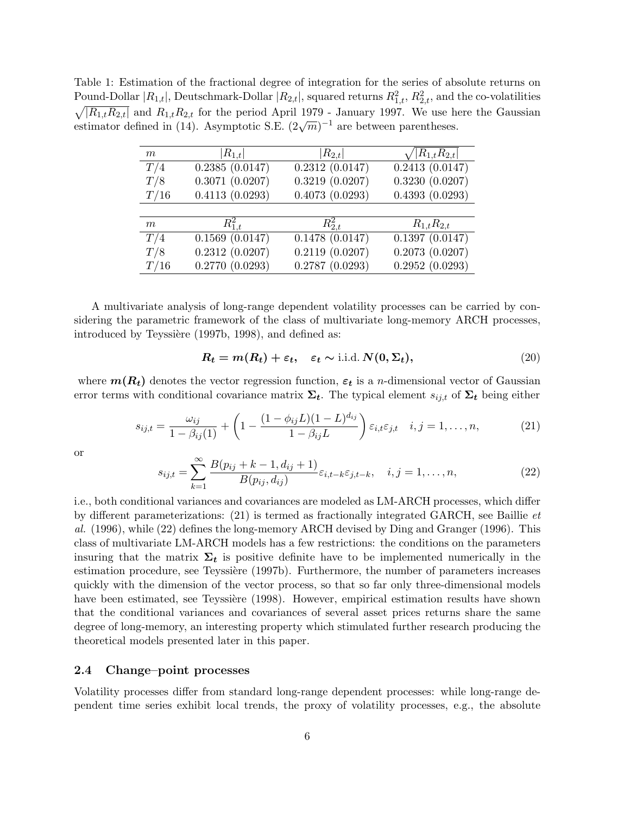Table 1: Estimation of the fractional degree of integration for the series of absolute returns on Pound-Dollar  $|R_{1,t}|$ , Deutschmark-Dollar  $|R_{2,t}|$ , squared returns  $R_{1,t}^2$ ,  $R_{2,t}^2$ , and the co-volatilities  $\sqrt{|R_{1,t}R_{2,t}|}$  and  $R_{1,t}R_{2,t}$  for the period April 1979 - January 1997. We use here the Gaussian estimator defined in (14). Asymptotic S.E.  $(2\sqrt{m})^{-1}$  are between parentheses.

| m    | $ R_{1,t} $        | $ R_{2,t} $    | $\sqrt{ R_{1,t}R_{2,t} }$ |
|------|--------------------|----------------|---------------------------|
| T/4  | $0.2385\ (0.0147)$ | 0.2312(0.0147) | 0.2413(0.0147)            |
| T/8  | 0.3071(0.0207)     | 0.3219(0.0207) | 0.3230(0.0207)            |
| T/16 | 0.4113(0.0293)     | 0.4073(0.0293) | 0.4393(0.0293)            |
|      |                    |                |                           |
| m    | $R_{1,t}^2$        | $R_{2,t}^2$    | $R_{1,t}R_{2,t}$          |
| T/4  | 0.1569(0.0147)     | 0.1478(0.0147) | 0.1397(0.0147)            |
| T/8  | 0.2312(0.0207)     | 0.2119(0.0207) | 0.2073(0.0207)            |
| T/16 | 0.2770(0.0293)     | 0.2787(0.0293) | 0.2952(0.0293)            |

A multivariate analysis of long-range dependent volatility processes can be carried by considering the parametric framework of the class of multivariate long-memory ARCH processes, introduced by Teyssière (1997b, 1998), and defined as:

$$
R_t = m(R_t) + \varepsilon_t, \quad \varepsilon_t \sim \text{i.i.d. } N(0, \Sigma_t), \tag{20}
$$

where  $m(R_t)$  denotes the vector regression function,  $\varepsilon_t$  is a *n*-dimensional vector of Gaussian error terms with conditional covariance matrix  $\Sigma_t$ . The typical element  $s_{ij,t}$  of  $\Sigma_t$  being either

$$
s_{ij,t} = \frac{\omega_{ij}}{1 - \beta_{ij}(1)} + \left(1 - \frac{(1 - \phi_{ij}L)(1 - L)^{d_{ij}}}{1 - \beta_{ij}L}\right) \varepsilon_{i,t} \varepsilon_{j,t} \quad i, j = 1, ..., n,
$$
 (21)

or

$$
s_{ij,t} = \sum_{k=1}^{\infty} \frac{B(p_{ij} + k - 1, d_{ij} + 1)}{B(p_{ij}, d_{ij})} \varepsilon_{i,t-k} \varepsilon_{j,t-k}, \quad i, j = 1, ..., n,
$$
 (22)

i.e., both conditional variances and covariances are modeled as LM-ARCH processes, which differ by different parameterizations: (21) is termed as fractionally integrated GARCH, see Baillie *et al.* (1996), while (22) defines the long-memory ARCH devised by Ding and Granger (1996). This class of multivariate LM-ARCH models has a few restrictions: the conditions on the parameters insuring that the matrix  $\Sigma_t$  is positive definite have to be implemented numerically in the estimation procedure, see Teyssière (1997b). Furthermore, the number of parameters increases quickly with the dimension of the vector process, so that so far only three-dimensional models have been estimated, see Teyssière (1998). However, empirical estimation results have shown that the conditional variances and covariances of several asset prices returns share the same degree of long-memory, an interesting property which stimulated further research producing the theoretical models presented later in this paper.

#### 2.4 Change–point processes

Volatility processes differ from standard long-range dependent processes: while long-range dependent time series exhibit local trends, the proxy of volatility processes, e.g., the absolute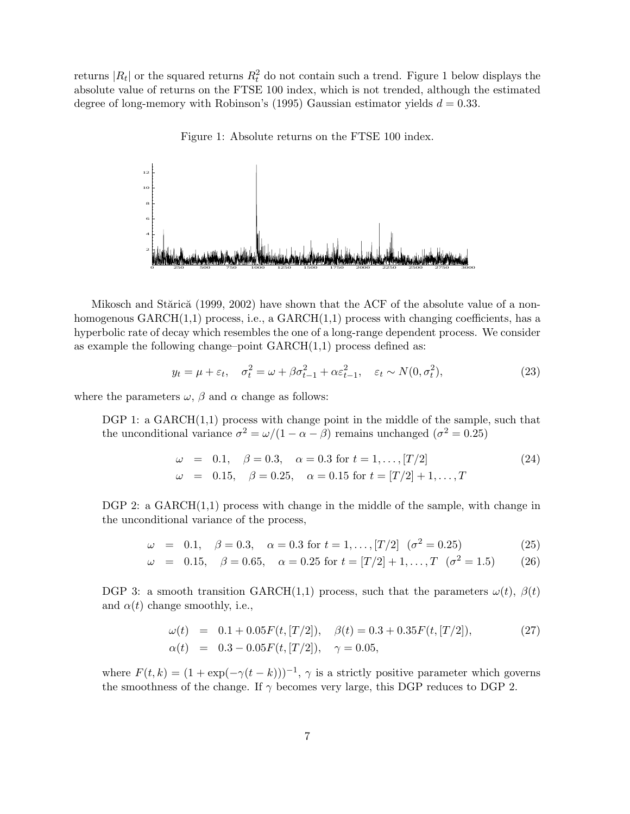returns  $|R_t|$  or the squared returns  $R_t^2$  do not contain such a trend. Figure 1 below displays the absolute value of returns on the FTSE 100 index, which is not trended, although the estimated degree of long-memory with Robinson's (1995) Gaussian estimator yields  $d = 0.33$ .

Figure 1: Absolute returns on the FTSE 100 index.



Mikosch and Stărică (1999, 2002) have shown that the ACF of the absolute value of a nonhomogenous  $GARCH(1,1)$  process, i.e., a  $GARCH(1,1)$  process with changing coefficients, has a hyperbolic rate of decay which resembles the one of a long-range dependent process. We consider as example the following change–point  $GARCH(1,1)$  process defined as:

$$
y_t = \mu + \varepsilon_t, \quad \sigma_t^2 = \omega + \beta \sigma_{t-1}^2 + \alpha \varepsilon_{t-1}^2, \quad \varepsilon_t \sim N(0, \sigma_t^2), \tag{23}
$$

where the parameters  $\omega$ ,  $\beta$  and  $\alpha$  change as follows:

DGP 1: a  $GARCH(1,1)$  process with change point in the middle of the sample, such that the unconditional variance  $\sigma^2 = \omega/(1 - \alpha - \beta)$  remains unchanged  $(\sigma^2 = 0.25)$ 

$$
\begin{array}{rcl}\n\omega & = & 0.1, \quad \beta = 0.3, \quad \alpha = 0.3 \text{ for } t = 1, \dots, [T/2] \\
\omega & = & 0.15, \quad \beta = 0.25, \quad \alpha = 0.15 \text{ for } t = [T/2] + 1, \dots, T\n\end{array} \tag{24}
$$

DGP 2: a  $GARCH(1,1)$  process with change in the middle of the sample, with change in the unconditional variance of the process,

$$
\omega = 0.1, \quad \beta = 0.3, \quad \alpha = 0.3 \text{ for } t = 1, \dots, [T/2] \quad (\sigma^2 = 0.25) \tag{25}
$$

$$
\omega = 0.15, \quad \beta = 0.65, \quad \alpha = 0.25 \text{ for } t = [T/2] + 1, \dots, T \quad (\sigma^2 = 1.5) \tag{26}
$$

DGP 3: a smooth transition GARCH(1,1) process, such that the parameters  $\omega(t)$ ,  $\beta(t)$ and  $\alpha(t)$  change smoothly, i.e.,

$$
\begin{array}{rcl}\n\omega(t) & = & 0.1 + 0.05F(t, [T/2]), \quad \beta(t) = 0.3 + 0.35F(t, [T/2]), \\
\alpha(t) & = & 0.3 - 0.05F(t, [T/2]), \quad \gamma = 0.05,\n\end{array} \tag{27}
$$

where  $F(t, k) = (1 + \exp(-\gamma(t - k)))^{-1}$ ,  $\gamma$  is a strictly positive parameter which governs the smoothness of the change. If  $\gamma$  becomes very large, this DGP reduces to DGP 2.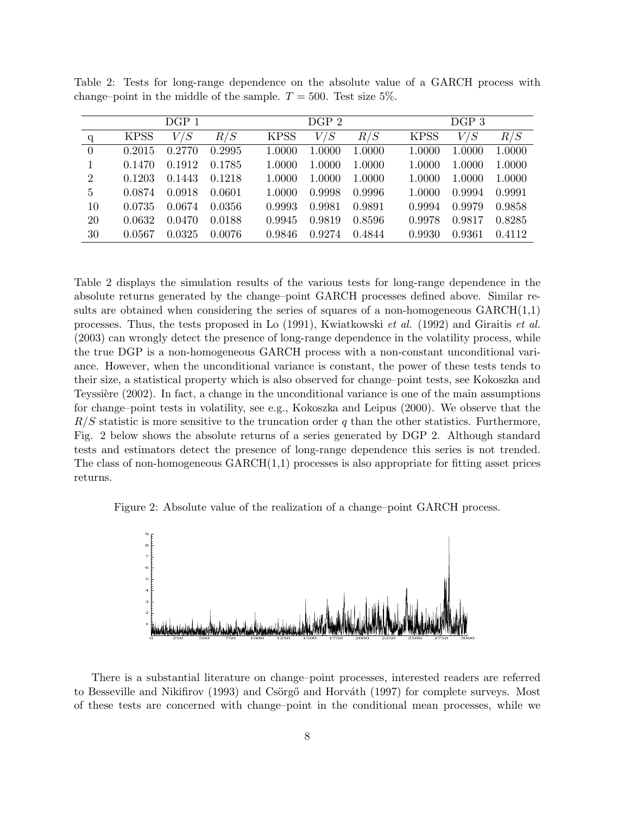|                |             | DGP 1  |        |             | DGP <sub>2</sub>                  |        |             | DGP <sub>3</sub> |        |
|----------------|-------------|--------|--------|-------------|-----------------------------------|--------|-------------|------------------|--------|
| $\mathbf{q}$   | <b>KPSS</b> | V/S    | R/S    | <b>KPSS</b> | $V\mskip -5mu\slash \mskip 1mu S$ | R/S    | <b>KPSS</b> | V/S              | R/S    |
| $\overline{0}$ | 0.2015      | 0.2770 | 0.2995 | 1.0000      | 1.0000                            | 1.0000 | 1.0000      | 1.0000           | 1.0000 |
|                | 0.1470      | 0.1912 | 0.1785 | 1.0000      | 1.0000                            | 1.0000 | 1.0000      | 1.0000           | 1.0000 |
| $\overline{2}$ | 0.1203      | 0.1443 | 0.1218 | 1.0000      | 1.0000                            | 1.0000 | 1.0000      | 1.0000           | 1.0000 |
| 5              | 0.0874      | 0.0918 | 0.0601 | 1.0000      | 0.9998                            | 0.9996 | 1.0000      | 0.9994           | 0.9991 |
| 10             | 0.0735      | 0.0674 | 0.0356 | 0.9993      | 0.9981                            | 0.9891 | 0.9994      | 0.9979           | 0.9858 |
| 20             | 0.0632      | 0.0470 | 0.0188 | 0.9945      | 0.9819                            | 0.8596 | 0.9978      | 0.9817           | 0.8285 |
| 30             | 0.0567      | 0.0325 | 0.0076 | 0.9846      | 0.9274                            | 0.4844 | 0.9930      | 0.9361           | 0.4112 |

Table 2: Tests for long-range dependence on the absolute value of a GARCH process with change–point in the middle of the sample.  $T = 500$ . Test size 5%.

Table 2 displays the simulation results of the various tests for long-range dependence in the absolute returns generated by the change–point GARCH processes defined above. Similar results are obtained when considering the series of squares of a non-homogeneous  $GARCH(1,1)$ processes. Thus, the tests proposed in Lo (1991), Kwiatkowski *et al.* (1992) and Giraitis *et al.* (2003) can wrongly detect the presence of long-range dependence in the volatility process, while the true DGP is a non-homogeneous GARCH process with a non-constant unconditional variance. However, when the unconditional variance is constant, the power of these tests tends to their size, a statistical property which is also observed for change–point tests, see Kokoszka and Teyssière (2002). In fact, a change in the unconditional variance is one of the main assumptions for change–point tests in volatility, see e.g., Kokoszka and Leipus (2000). We observe that the  $R/S$  statistic is more sensitive to the truncation order q than the other statistics. Furthermore, Fig. 2 below shows the absolute returns of a series generated by DGP 2. Although standard tests and estimators detect the presence of long-range dependence this series is not trended. The class of non-homogeneous  $GARCH(1,1)$  processes is also appropriate for fitting asset prices returns.

Figure 2: Absolute value of the realization of a change–point GARCH process.



There is a substantial literature on change–point processes, interested readers are referred to Besseville and Nikifirov (1993) and Csörgő and Horváth (1997) for complete surveys. Most of these tests are concerned with change–point in the conditional mean processes, while we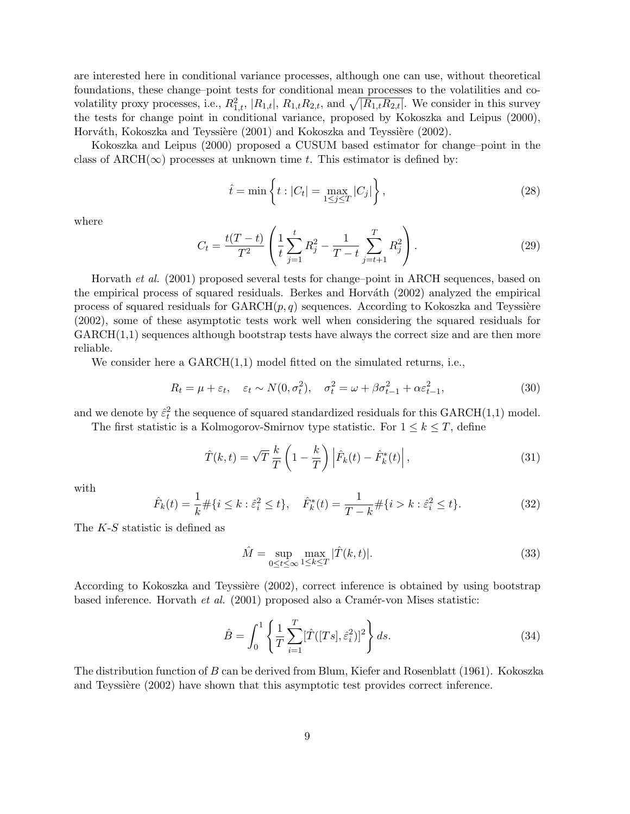are interested here in conditional variance processes, although one can use, without theoretical foundations, these change–point tests for conditional mean processes to the volatilities and covolatility proxy processes, i.e.,  $R_{1,t}^2$ ,  $|R_{1,t}|$ ,  $R_{1,t}R_{2,t}$ , and  $\sqrt{|R_{1,t}R_{2,t}|}$ . We consider in this survey the tests for change point in conditional variance, proposed by Kokoszka and Leipus (2000), Horváth, Kokoszka and Teyssière (2001) and Kokoszka and Teyssière (2002).

Kokoszka and Leipus (2000) proposed a CUSUM based estimator for change–point in the class of ARCH( $\infty$ ) processes at unknown time t. This estimator is defined by:

$$
\hat{t} = \min\left\{t : |C_t| = \max_{1 \le j \le T} |C_j| \right\},\tag{28}
$$

where

$$
C_t = \frac{t(T-t)}{T^2} \left( \frac{1}{t} \sum_{j=1}^t R_j^2 - \frac{1}{T-t} \sum_{j=t+1}^T R_j^2 \right).
$$
 (29)

Horvath *et al.* (2001) proposed several tests for change–point in ARCH sequences, based on the empirical process of squared residuals. Berkes and Horváth (2002) analyzed the empirical process of squared residuals for  $GARCH(p, q)$  sequences. According to Kokoszka and Teyssière (2002), some of these asymptotic tests work well when considering the squared residuals for  $GARCH(1,1)$  sequences although bootstrap tests have always the correct size and are then more reliable.

We consider here a  $GARCH(1,1)$  model fitted on the simulated returns, i.e.,

$$
R_t = \mu + \varepsilon_t, \quad \varepsilon_t \sim N(0, \sigma_t^2), \quad \sigma_t^2 = \omega + \beta \sigma_{t-1}^2 + \alpha \varepsilon_{t-1}^2,\tag{30}
$$

and we denote by  $\hat{\varepsilon}_t^2$  the sequence of squared standardized residuals for this GARCH(1,1) model. The first statistic is a Kolmogorov-Smirnov type statistic. For  $1 \leq k \leq T$ , define

$$
\hat{T}(k,t) = \sqrt{T} \frac{k}{T} \left( 1 - \frac{k}{T} \right) \left| \hat{F}_k(t) - \hat{F}_k^*(t) \right|,
$$
\n(31)

with

$$
\hat{F}_k(t) = \frac{1}{k} \# \{ i \le k : \hat{\varepsilon}_i^2 \le t \}, \quad \hat{F}_k^*(t) = \frac{1}{T - k} \# \{ i > k : \hat{\varepsilon}_i^2 \le t \}. \tag{32}
$$

The K-S statistic is defined as

$$
\hat{M} = \sup_{0 \le t \le \infty} \max_{1 \le k \le T} |\hat{T}(k, t)|. \tag{33}
$$

According to Kokoszka and Teyssière (2002), correct inference is obtained by using bootstrap based inference. Horvath *et al.* (2001) proposed also a Cramér-von Mises statistic:

$$
\hat{B} = \int_0^1 \left\{ \frac{1}{T} \sum_{i=1}^T [\hat{T}([Ts], \hat{\varepsilon}_i^2)]^2 \right\} ds.
$$
\n(34)

The distribution function of B can be derived from Blum, Kiefer and Rosenblatt (1961). Kokoszka and Teyssière (2002) have shown that this asymptotic test provides correct inference.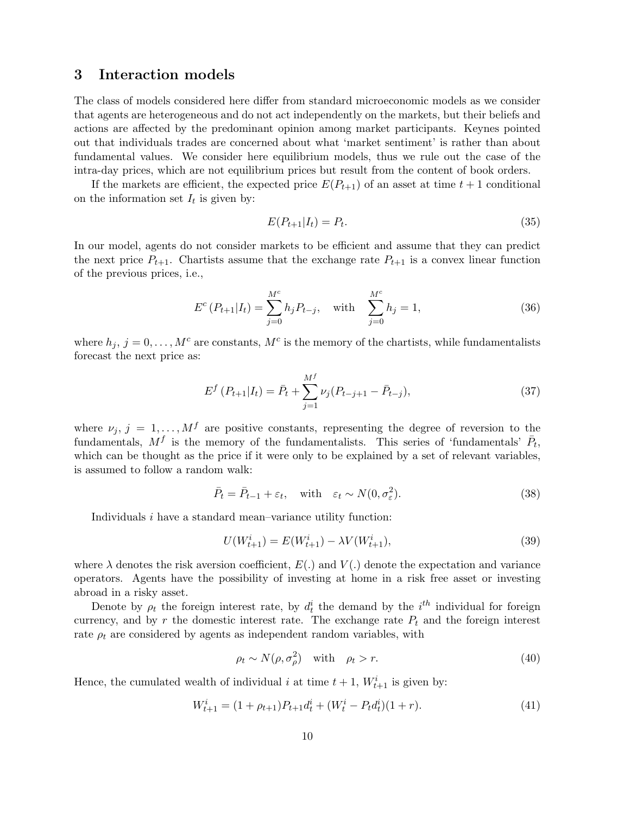## 3 Interaction models

The class of models considered here differ from standard microeconomic models as we consider that agents are heterogeneous and do not act independently on the markets, but their beliefs and actions are affected by the predominant opinion among market participants. Keynes pointed out that individuals trades are concerned about what 'market sentiment' is rather than about fundamental values. We consider here equilibrium models, thus we rule out the case of the intra-day prices, which are not equilibrium prices but result from the content of book orders.

If the markets are efficient, the expected price  $E(P_{t+1})$  of an asset at time  $t+1$  conditional on the information set  $I_t$  is given by:

$$
E(P_{t+1}|I_t) = P_t.
$$
\n(35)

In our model, agents do not consider markets to be efficient and assume that they can predict the next price  $P_{t+1}$ . Chartists assume that the exchange rate  $P_{t+1}$  is a convex linear function of the previous prices, i.e.,

$$
E^{c}(P_{t+1}|I_{t}) = \sum_{j=0}^{M^{c}} h_{j}P_{t-j}, \text{ with } \sum_{j=0}^{M^{c}} h_{j} = 1,
$$
\n(36)

where  $h_j$ ,  $j = 0, \ldots, M^c$  are constants,  $M^c$  is the memory of the chartists, while fundamentalists forecast the next price as:

$$
E^f(P_{t+1}|I_t) = \bar{P}_t + \sum_{j=1}^{M^f} \nu_j(P_{t-j+1} - \bar{P}_{t-j}),
$$
\n(37)

where  $\nu_j, j = 1, ..., M^f$  are positive constants, representing the degree of reversion to the fundamentals,  $M^f$  is the memory of the fundamentalists. This series of 'fundamentals'  $\bar{P}_t$ , which can be thought as the price if it were only to be explained by a set of relevant variables, is assumed to follow a random walk:

$$
\bar{P}_t = \bar{P}_{t-1} + \varepsilon_t, \quad \text{with} \quad \varepsilon_t \sim N(0, \sigma_\varepsilon^2). \tag{38}
$$

Individuals i have a standard mean–variance utility function:

$$
U(W_{t+1}^i) = E(W_{t+1}^i) - \lambda V(W_{t+1}^i),
$$
\n(39)

where  $\lambda$  denotes the risk aversion coefficient,  $E(.)$  and  $V(.)$  denote the expectation and variance operators. Agents have the possibility of investing at home in a risk free asset or investing abroad in a risky asset.

Denote by  $\rho_t$  the foreign interest rate, by  $d_t^i$  the demand by the  $i^{th}$  individual for foreign currency, and by  $r$  the domestic interest rate. The exchange rate  $P_t$  and the foreign interest rate  $\rho_t$  are considered by agents as independent random variables, with

$$
\rho_t \sim N(\rho, \sigma_\rho^2) \quad \text{with} \quad \rho_t > r. \tag{40}
$$

Hence, the cumulated wealth of individual i at time  $t + 1$ ,  $W_{t+1}^i$  is given by:

$$
W_{t+1}^i = (1 + \rho_{t+1})P_{t+1}d_t^i + (W_t^i - P_t d_t^i)(1+r).
$$
\n(41)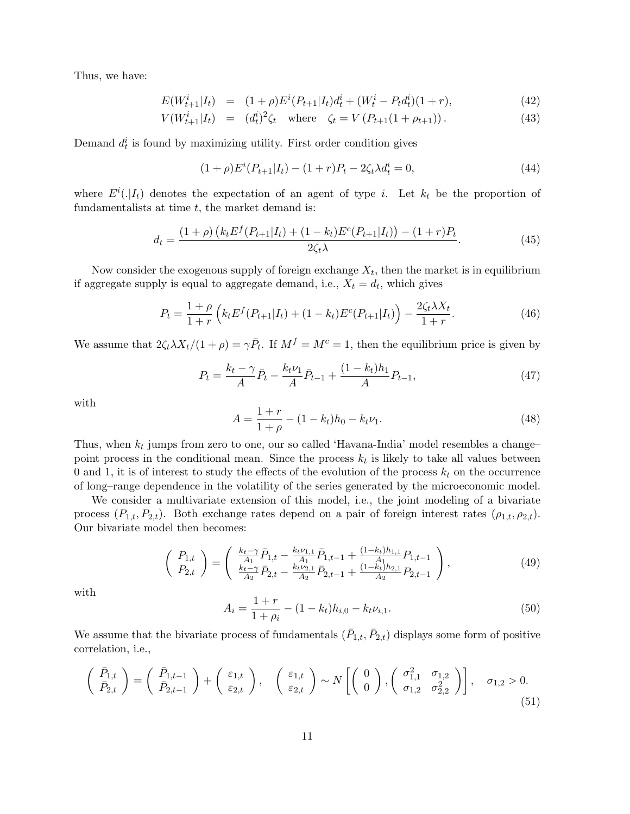Thus, we have:

$$
E(W_{t+1}^i|I_t) = (1+\rho)E^i(P_{t+1}|I_t)d_t^i + (W_t^i - P_t d_t^i)(1+r), \qquad (42)
$$

$$
V(W_{t+1}^i | I_t) = (d_t^i)^2 \zeta_t \quad \text{where} \quad \zeta_t = V(P_{t+1}(1 + \rho_{t+1})). \tag{43}
$$

Demand  $d_t^i$  is found by maximizing utility. First order condition gives

$$
(1+\rho)E^{i}(P_{t+1}|I_t) - (1+r)P_t - 2\zeta_t\lambda d_t^{i} = 0,
$$
\n(44)

where  $E^i(.|I_t)$  denotes the expectation of an agent of type *i*. Let  $k_t$  be the proportion of fundamentalists at time  $t$ , the market demand is:

$$
d_{t} = \frac{(1+\rho)\left(k_{t}E^{f}(P_{t+1}|I_{t}) + (1-k_{t})E^{c}(P_{t+1}|I_{t})\right) - (1+r)P_{t}}{2\zeta_{t}\lambda}.
$$
\n(45)

Now consider the exogenous supply of foreign exchange  $X_t$ , then the market is in equilibrium if aggregate supply is equal to aggregate demand, i.e.,  $X_t = d_t$ , which gives

$$
P_t = \frac{1+\rho}{1+r} \left( k_t E^f(P_{t+1}|I_t) + (1-k_t) E^c(P_{t+1}|I_t) \right) - \frac{2\zeta_t \lambda X_t}{1+r}.
$$
 (46)

We assume that  $2\zeta_t \lambda X_t/(1+\rho) = \gamma \bar{P}_t$ . If  $M^f = M^c = 1$ , then the equilibrium price is given by

$$
P_t = \frac{k_t - \gamma}{A} \bar{P}_t - \frac{k_t \nu_1}{A} \bar{P}_{t-1} + \frac{(1 - k_t)h_1}{A} P_{t-1},\tag{47}
$$

with

$$
A = \frac{1+r}{1+\rho} - (1-k_t)h_0 - k_t \nu_1.
$$
\n(48)

Thus, when  $k_t$  jumps from zero to one, our so called 'Havana-India' model resembles a change– point process in the conditional mean. Since the process  $k_t$  is likely to take all values between 0 and 1, it is of interest to study the effects of the evolution of the process  $k_t$  on the occurrence of long–range dependence in the volatility of the series generated by the microeconomic model.

We consider a multivariate extension of this model, i.e., the joint modeling of a bivariate process  $(P_{1,t}, P_{2,t})$ . Both exchange rates depend on a pair of foreign interest rates  $(\rho_{1,t}, \rho_{2,t})$ . Our bivariate model then becomes:

$$
\begin{pmatrix} P_{1,t} \\ P_{2,t} \end{pmatrix} = \begin{pmatrix} \frac{k_t - \gamma}{A_1} \bar{P}_{1,t} - \frac{k_t \nu_{1,1}}{A_1} \bar{P}_{1,t-1} + \frac{(1 - k_t)h_{1,1}}{A_1} P_{1,t-1} \\ \frac{k_t - \gamma}{A_2} \bar{P}_{2,t} - \frac{k_t \nu_{2,1}}{A_2} \bar{P}_{2,t-1} + \frac{(1 - k_t)h_{2,1}}{A_2} P_{2,t-1} \end{pmatrix},
$$
(49)

with

$$
A_i = \frac{1+r}{1+\rho_i} - (1-k_t)h_{i,0} - k_t \nu_{i,1}.
$$
\n(50)

We assume that the bivariate process of fundamentals  $(\bar{P}_{1,t}, \bar{P}_{2,t})$  displays some form of positive correlation, i.e.,

$$
\begin{pmatrix}\n\bar{P}_{1,t} \\
\bar{P}_{2,t}\n\end{pmatrix} = \begin{pmatrix}\n\bar{P}_{1,t-1} \\
\bar{P}_{2,t-1}\n\end{pmatrix} + \begin{pmatrix}\n\varepsilon_{1,t} \\
\varepsilon_{2,t}\n\end{pmatrix}, \quad\n\begin{pmatrix}\n\varepsilon_{1,t} \\
\varepsilon_{2,t}\n\end{pmatrix} \sim N \begin{bmatrix}\n0 \\
0\n\end{bmatrix},\n\begin{pmatrix}\n\sigma_{1,1}^2 & \sigma_{1,2} \\
\sigma_{1,2} & \sigma_{2,2}^2\n\end{pmatrix}, \quad\n\sigma_{1,2} > 0.
$$
\n(51)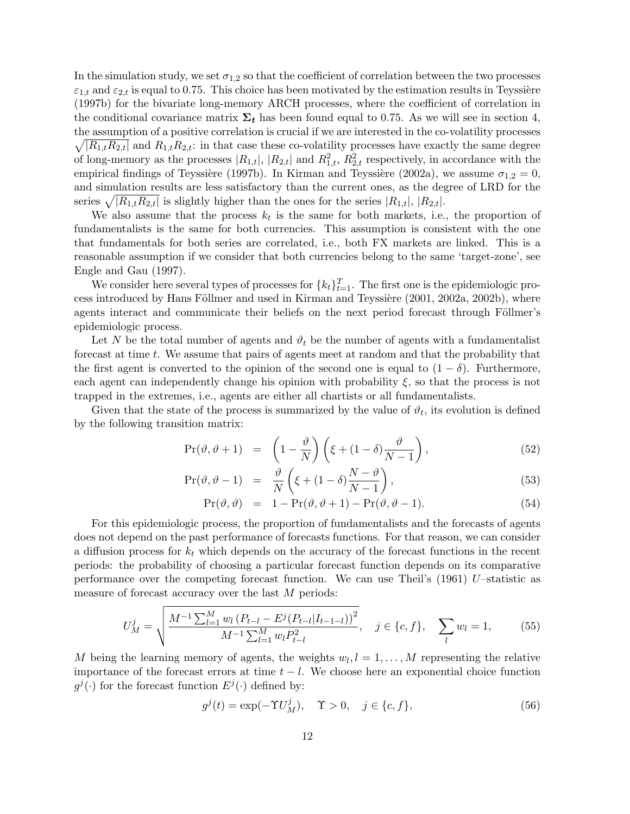In the simulation study, we set  $\sigma_{1,2}$  so that the coefficient of correlation between the two processes  $\varepsilon_{1,t}$  and  $\varepsilon_{2,t}$  is equal to 0.75. This choice has been motivated by the estimation results in Teyssière (1997b) for the bivariate long-memory ARCH processes, where the coefficient of correlation in the conditional covariance matrix  $\Sigma_t$  has been found equal to 0.75. As we will see in section 4, the assumption of a positive correlation is crucial if we are interested in the co-volatility processes  $\sqrt{|R_{1,t}R_{2,t}|}$  and  $R_{1,t}R_{2,t}$ : in that case these co-volatility processes have exactly the same degree of long-memory as the processes  $|R_{1,t}|$ ,  $|R_{2,t}|$  and  $R_{1,t}^2$ ,  $R_{2,t}^2$  respectively, in accordance with the empirical findings of Teyssière (1997b). In Kirman and Teyssière (2002a), we assume  $\sigma_{1,2} = 0$ , and simulation results are less satisfactory than the current ones, as the degree of LRD for the series  $\sqrt{|R_{1,t}R_{2,t}|}$  is slightly higher than the ones for the series  $|R_{1,t}|, |R_{2,t}|$ .

We also assume that the process  $k_t$  is the same for both markets, i.e., the proportion of fundamentalists is the same for both currencies. This assumption is consistent with the one that fundamentals for both series are correlated, i.e., both FX markets are linked. This is a reasonable assumption if we consider that both currencies belong to the same 'target-zone', see Engle and Gau (1997).

We consider here several types of processes for  $\{k_t\}_{t=1}^T$ . The first one is the epidemiologic process introduced by Hans Föllmer and used in Kirman and Teyssière (2001, 2002a, 2002b), where agents interact and communicate their beliefs on the next period forecast through Föllmer's epidemiologic process.

Let N be the total number of agents and  $\vartheta_t$  be the number of agents with a fundamentalist forecast at time t. We assume that pairs of agents meet at random and that the probability that the first agent is converted to the opinion of the second one is equal to  $(1 - \delta)$ . Furthermore, each agent can independently change his opinion with probability  $\xi$ , so that the process is not trapped in the extremes, i.e., agents are either all chartists or all fundamentalists.

Given that the state of the process is summarized by the value of  $\vartheta_t$ , its evolution is defined by the following transition matrix:

$$
\Pr(\vartheta, \vartheta + 1) = \left(1 - \frac{\vartheta}{N}\right) \left(\xi + (1 - \delta)\frac{\vartheta}{N - 1}\right),\tag{52}
$$

$$
Pr(\vartheta, \vartheta - 1) = \frac{\vartheta}{N} \left( \xi + (1 - \delta) \frac{N - \vartheta}{N - 1} \right), \tag{53}
$$

$$
Pr(\vartheta, \vartheta) = 1 - Pr(\vartheta, \vartheta + 1) - Pr(\vartheta, \vartheta - 1).
$$
 (54)

For this epidemiologic process, the proportion of fundamentalists and the forecasts of agents does not depend on the past performance of forecasts functions. For that reason, we can consider a diffusion process for  $k_t$  which depends on the accuracy of the forecast functions in the recent periods: the probability of choosing a particular forecast function depends on its comparative performance over the competing forecast function. We can use Theil's (1961) U–statistic as measure of forecast accuracy over the last M periods:

$$
U_M^j = \sqrt{\frac{M^{-1} \sum_{l=1}^M w_l (P_{t-l} - E^j (P_{t-l} | I_{t-1-l}))^2}{M^{-1} \sum_{l=1}^M w_l P_{t-l}^2}}, \quad j \in \{c, f\}, \quad \sum_l w_l = 1,
$$
 (55)

M being the learning memory of agents, the weights  $w_l, l = 1, \ldots, M$  representing the relative importance of the forecast errors at time  $t - l$ . We choose here an exponential choice function  $g^j(\cdot)$  for the forecast function  $E^j(\cdot)$  defined by:

$$
g^{j}(t) = \exp(-\Upsilon_{M}^{j}), \quad \Upsilon > 0, \quad j \in \{c, f\},
$$
\n
$$
(56)
$$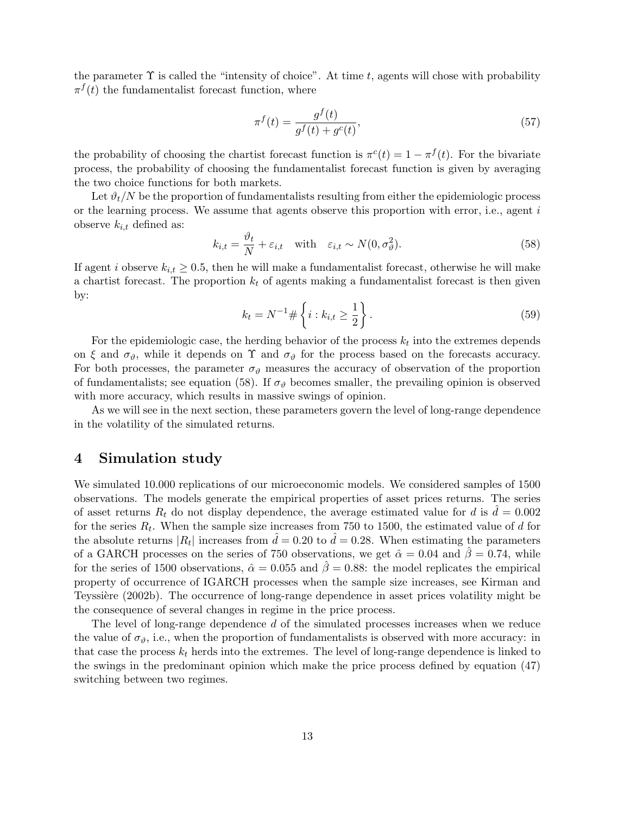the parameter  $\Upsilon$  is called the "intensity of choice". At time t, agents will chose with probability  $\pi^f(t)$  the fundamentalist forecast function, where

$$
\pi^{f}(t) = \frac{g^{f}(t)}{g^{f}(t) + g^{c}(t)},
$$
\n(57)

the probability of choosing the chartist forecast function is  $\pi^c(t) = 1 - \pi^f(t)$ . For the bivariate process, the probability of choosing the fundamentalist forecast function is given by averaging the two choice functions for both markets.

Let  $\partial_t/N$  be the proportion of fundamentalists resulting from either the epidemiologic process or the learning process. We assume that agents observe this proportion with error, i.e., agent  $i$ observe  $k_{i,t}$  defined as:

$$
k_{i,t} = \frac{\vartheta_t}{N} + \varepsilon_{i,t} \quad \text{with} \quad \varepsilon_{i,t} \sim N(0, \sigma_\vartheta^2). \tag{58}
$$

If agent i observe  $k_{i,t} \geq 0.5$ , then he will make a fundamentalist forecast, otherwise he will make a chartist forecast. The proportion  $k_t$  of agents making a fundamentalist forecast is then given by:

$$
k_t = N^{-1} \# \left\{ i : k_{i,t} \ge \frac{1}{2} \right\}.
$$
\n(59)

For the epidemiologic case, the herding behavior of the process  $k_t$  into the extremes depends on  $\xi$  and  $\sigma_{\vartheta}$ , while it depends on  $\Upsilon$  and  $\sigma_{\vartheta}$  for the process based on the forecasts accuracy. For both processes, the parameter  $\sigma_{\vartheta}$  measures the accuracy of observation of the proportion of fundamentalists; see equation (58). If  $\sigma_{\vartheta}$  becomes smaller, the prevailing opinion is observed with more accuracy, which results in massive swings of opinion.

As we will see in the next section, these parameters govern the level of long-range dependence in the volatility of the simulated returns.

### 4 Simulation study

We simulated 10.000 replications of our microeconomic models. We considered samples of 1500 observations. The models generate the empirical properties of asset prices returns. The series of asset returns  $R_t$  do not display dependence, the average estimated value for d is  $\hat{d} = 0.002$ for the series  $R_t$ . When the sample size increases from 750 to 1500, the estimated value of d for the absolute returns  $|R_t|$  increases from  $\hat{d} = 0.20$  to  $\hat{d} = 0.28$ . When estimating the parameters of a GARCH processes on the series of 750 observations, we get  $\hat{\alpha} = 0.04$  and  $\hat{\beta} = 0.74$ , while for the series of 1500 observations,  $\hat{\alpha} = 0.055$  and  $\hat{\beta} = 0.88$ : the model replicates the empirical property of occurrence of IGARCH processes when the sample size increases, see Kirman and Teyssière (2002b). The occurrence of long-range dependence in asset prices volatility might be the consequence of several changes in regime in the price process.

The level of long-range dependence d of the simulated processes increases when we reduce the value of  $\sigma_{\vartheta}$ , i.e., when the proportion of fundamentalists is observed with more accuracy: in that case the process  $k_t$  herds into the extremes. The level of long-range dependence is linked to the swings in the predominant opinion which make the price process defined by equation (47) switching between two regimes.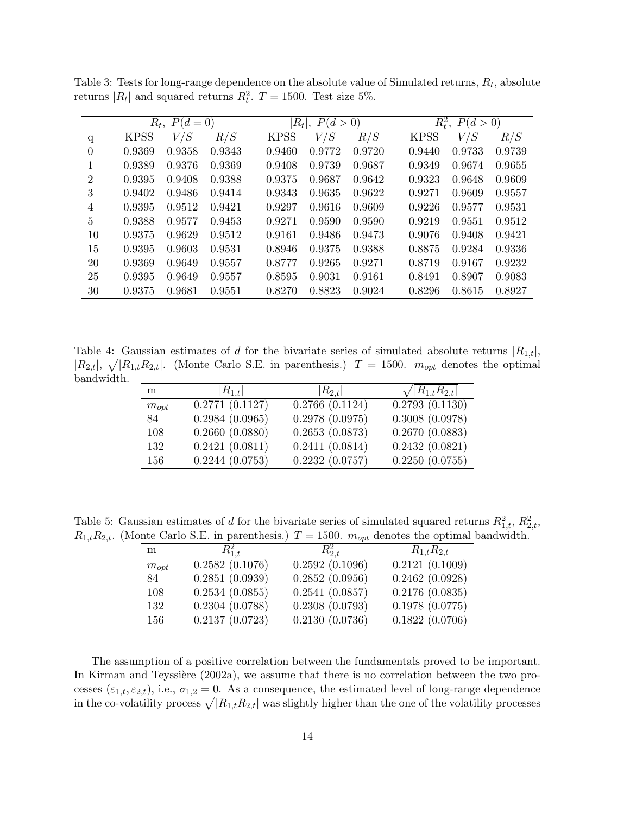|                | $R_t$ ,<br>$P(d=0)$ |        |        | $ R_t ,$<br>P(d>0) |        |        | $R_t^2$ ,<br>P(d>0) |        |        |
|----------------|---------------------|--------|--------|--------------------|--------|--------|---------------------|--------|--------|
| q              | <b>KPSS</b>         | V/S    | R/S    | <b>KPSS</b>        | V/S    | R/S    | <b>KPSS</b>         | V/S    | R/S    |
| $\Omega$       | 0.9369              | 0.9358 | 0.9343 | 0.9460             | 0.9772 | 0.9720 | 0.9440              | 0.9733 | 0.9739 |
|                | 0.9389              | 0.9376 | 0.9369 | 0.9408             | 0.9739 | 0.9687 | 0.9349              | 0.9674 | 0.9655 |
| $\overline{2}$ | 0.9395              | 0.9408 | 0.9388 | 0.9375             | 0.9687 | 0.9642 | 0.9323              | 0.9648 | 0.9609 |
| 3              | 0.9402              | 0.9486 | 0.9414 | 0.9343             | 0.9635 | 0.9622 | 0.9271              | 0.9609 | 0.9557 |
| 4              | 0.9395              | 0.9512 | 0.9421 | 0.9297             | 0.9616 | 0.9609 | 0.9226              | 0.9577 | 0.9531 |
| $\overline{5}$ | 0.9388              | 0.9577 | 0.9453 | 0.9271             | 0.9590 | 0.9590 | 0.9219              | 0.9551 | 0.9512 |
| 10             | 0.9375              | 0.9629 | 0.9512 | 0.9161             | 0.9486 | 0.9473 | 0.9076              | 0.9408 | 0.9421 |
| 15             | 0.9395              | 0.9603 | 0.9531 | 0.8946             | 0.9375 | 0.9388 | 0.8875              | 0.9284 | 0.9336 |
| 20             | 0.9369              | 0.9649 | 0.9557 | 0.8777             | 0.9265 | 0.9271 | 0.8719              | 0.9167 | 0.9232 |
| 25             | 0.9395              | 0.9649 | 0.9557 | 0.8595             | 0.9031 | 0.9161 | 0.8491              | 0.8907 | 0.9083 |
| 30             | 0.9375              | 0.9681 | 0.9551 | 0.8270             | 0.8823 | 0.9024 | 0.8296              | 0.8615 | 0.8927 |

Table 3: Tests for long-range dependence on the absolute value of Simulated returns,  $R_t$ , absolute returns  $|R_t|$  and squared returns  $R_t^2$ .  $T = 1500$ . Test size 5%.

Table 4: Gaussian estimates of d for the bivariate series of simulated absolute returns  $|R_{1,t}|$ ,  $|R_{2,t}|$ ,  $\sqrt{|R_{1,t}R_{2,t}|}$ . (Monte Carlo S.E. in parenthesis.)  $T = 1500$ .  $m_{opt}$  denotes the optimal bandwidth.

| m         | $ R_{1,t} $    | $ R_{2,t} $    | $\sqrt{ R_{1,t}R_{2,t} }$   |
|-----------|----------------|----------------|-----------------------------|
| $m_{opt}$ | 0.2771(0.1127) | 0.2766(0.1124) | $\overline{0.2793(0.1130)}$ |
| 84        | 0.2984(0.0965) | 0.2978(0.0975) | 0.3008(0.0978)              |
| 108       | 0.2660(0.0880) | 0.2653(0.0873) | 0.2670(0.0883)              |
| 132       | 0.2421(0.0811) | 0.2411(0.0814) | 0.2432(0.0821)              |
| 156       | 0.2244(0.0753) | 0.2232(0.0757) | 0.2250(0.0755)              |

Table 5: Gaussian estimates of d for the bivariate series of simulated squared returns  $R_{1,t}^2$ ,  $R_{2,t}^2$ ,  $R_{1,t}R_{2,t}$ . (Monte Carlo S.E. in parenthesis.)  $T = 1500$ .  $m_{opt}$  denotes the optimal bandwidth.

| m         | $R_{1,t}^2$    | $R_{2,t}^2$    | $R_{1,t}R_{2,t}$ |
|-----------|----------------|----------------|------------------|
| $m_{opt}$ | 0.2582(0.1076) | 0.2592(0.1096) | 0.2121(0.1009)   |
| 84        | 0.2851(0.0939) | 0.2852(0.0956) | 0.2462(0.0928)   |
| 108       | 0.2534(0.0855) | 0.2541(0.0857) | 0.2176(0.0835)   |
| 132       | 0.2304(0.0788) | 0.2308(0.0793) | 0.1978(0.0775)   |
| 156       | 0.2137(0.0723) | 0.2130(0.0736) | 0.1822(0.0706)   |

The assumption of a positive correlation between the fundamentals proved to be important. In Kirman and Teyssière  $(2002a)$ , we assume that there is no correlation between the two processes  $(\varepsilon_{1,t}, \varepsilon_{2,t})$ , i.e.,  $\sigma_{1,2} = 0$ . As a consequence, the estimated level of long-range dependence in the co-volatility process  $\sqrt{|R_{1,t}R_{2,t}|}$  was slightly higher than the one of the volatility processes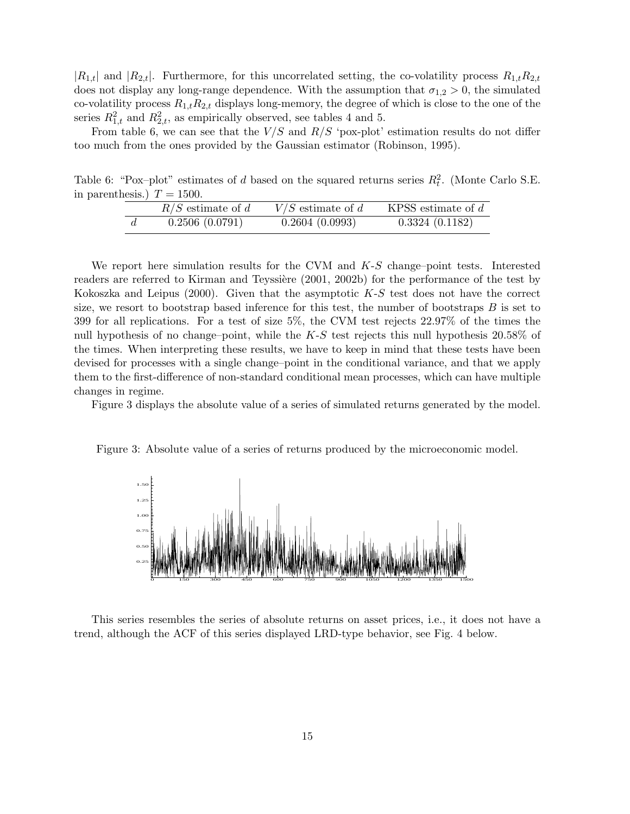$|R_{1,t}|$  and  $|R_{2,t}|$ . Furthermore, for this uncorrelated setting, the co-volatility process  $R_{1,t}R_{2,t}$ does not display any long-range dependence. With the assumption that  $\sigma_{1,2} > 0$ , the simulated co-volatility process  $R_{1,t}R_{2,t}$  displays long-memory, the degree of which is close to the one of the series  $R_{1,t}^2$  and  $R_{2,t}^2$ , as empirically observed, see tables 4 and 5.

From table 6, we can see that the  $V/S$  and  $R/S$  'pox-plot' estimation results do not differ too much from the ones provided by the Gaussian estimator (Robinson, 1995).

Table 6: "Pox-plot" estimates of d based on the squared returns series  $R_t^2$ . (Monte Carlo S.E. in parenthesis.)  $T = 1500$ .

| $R/S$ estimate of d | $V/S$ estimate of d | KPSS estimate of $d$ |
|---------------------|---------------------|----------------------|
| 0.2506(0.0791)      | 0.2604(0.0993)      | 0.3324(0.1182)       |

We report here simulation results for the CVM and  $K-S$  change–point tests. Interested readers are referred to Kirman and Teyssière (2001, 2002b) for the performance of the test by Kokoszka and Leipus  $(2000)$ . Given that the asymptotic  $K-S$  test does not have the correct size, we resort to bootstrap based inference for this test, the number of bootstraps  $B$  is set to 399 for all replications. For a test of size 5%, the CVM test rejects 22.97% of the times the null hypothesis of no change–point, while the  $K-S$  test rejects this null hypothesis 20.58% of the times. When interpreting these results, we have to keep in mind that these tests have been devised for processes with a single change–point in the conditional variance, and that we apply them to the first-difference of non-standard conditional mean processes, which can have multiple changes in regime.

Figure 3 displays the absolute value of a series of simulated returns generated by the model.

Figure 3: Absolute value of a series of returns produced by the microeconomic model.



This series resembles the series of absolute returns on asset prices, i.e., it does not have a trend, although the ACF of this series displayed LRD-type behavior, see Fig. 4 below.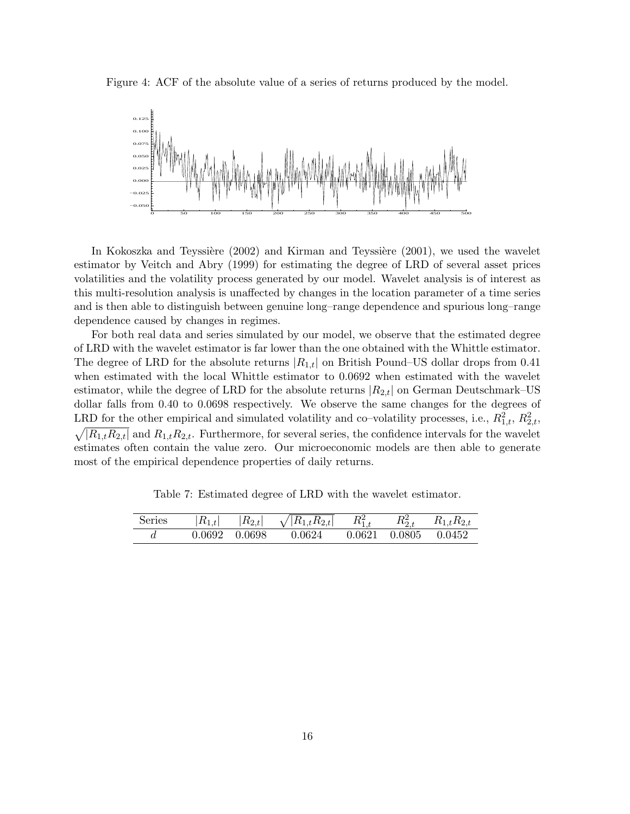

Figure 4: ACF of the absolute value of a series of returns produced by the model.

In Kokoszka and Teyssière  $(2002)$  and Kirman and Teyssière  $(2001)$ , we used the wavelet estimator by Veitch and Abry (1999) for estimating the degree of LRD of several asset prices volatilities and the volatility process generated by our model. Wavelet analysis is of interest as this multi-resolution analysis is unaffected by changes in the location parameter of a time series and is then able to distinguish between genuine long–range dependence and spurious long–range dependence caused by changes in regimes.

For both real data and series simulated by our model, we observe that the estimated degree of LRD with the wavelet estimator is far lower than the one obtained with the Whittle estimator. The degree of LRD for the absolute returns  $|R_{1,t}|$  on British Pound–US dollar drops from 0.41 when estimated with the local Whittle estimator to 0.0692 when estimated with the wavelet estimator, while the degree of LRD for the absolute returns  $|R_{2,t}|$  on German Deutschmark–US dollar falls from 0.40 to 0.0698 respectively. We observe the same changes for the degrees of LRD for the other empirical and simulated volatility and co-volatility processes, i.e.,  $R_{1,t}^2$ ,  $R_{2,t}^2$ ,  $\sqrt{|R_{1,t}R_{2,t}|}$  and  $R_{1,t}R_{2,t}$ . Furthermore, for several series, the confidence intervals for the wavelet estimates often contain the value zero. Our microeconomic models are then able to generate most of the empirical dependence properties of daily returns.

Table 7: Estimated degree of LRD with the wavelet estimator.

| Series |               | $ R_{1,t}  =  R_{2,t}  = \sqrt{ R_{1,t}R_{2,t} } = R_{1,t}^2$ | $R_{2,t}^2$ | $R_{1,t}R_{2,t}$           |
|--------|---------------|---------------------------------------------------------------|-------------|----------------------------|
|        | 0.0692 0.0698 | 0.0624                                                        |             | $0.0621$ $0.0805$ $0.0452$ |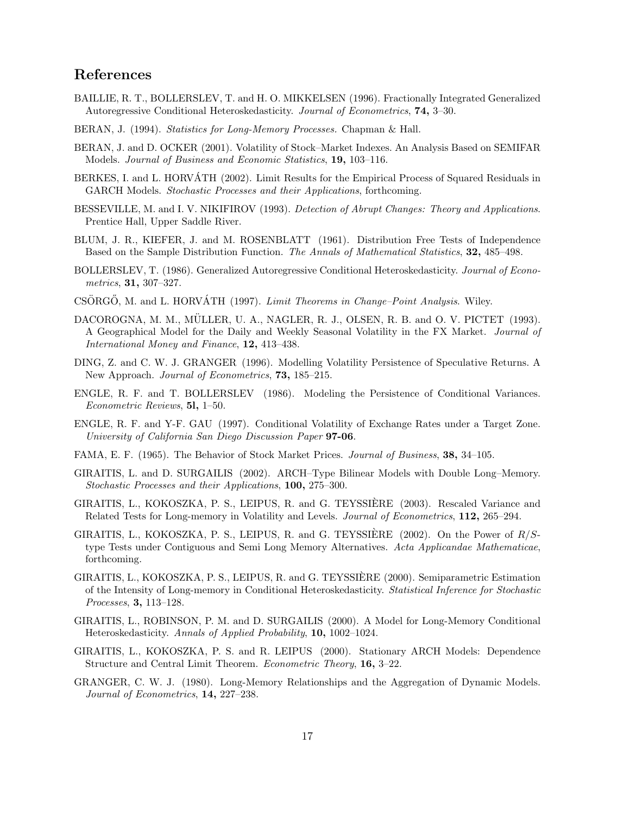## References

- BAILLIE, R. T., BOLLERSLEV, T. and H. O. MIKKELSEN (1996). Fractionally Integrated Generalized Autoregressive Conditional Heteroskedasticity. *Journal of Econometrics*, 74, 3–30.
- BERAN, J. (1994). *Statistics for Long-Memory Processes.* Chapman & Hall.
- BERAN, J. and D. OCKER (2001). Volatility of Stock–Market Indexes. An Analysis Based on SEMIFAR Models. *Journal of Business and Economic Statistics*, 19, 103–116.
- BERKES, I. and L. HORVATH (2002). Limit Results for the Empirical Process of Squared Residuals in ´ GARCH Models. *Stochastic Processes and their Applications*, forthcoming.
- BESSEVILLE, M. and I. V. NIKIFIROV (1993). *Detection of Abrupt Changes: Theory and Applications*. Prentice Hall, Upper Saddle River.
- BLUM, J. R., KIEFER, J. and M. ROSENBLATT (1961). Distribution Free Tests of Independence Based on the Sample Distribution Function. *The Annals of Mathematical Statistics*, 32, 485–498.
- BOLLERSLEV, T. (1986). Generalized Autoregressive Conditional Heteroskedasticity. *Journal of Econometrics*, 31, 307–327.
- CSÖRGŐ, M. and L. HORVÁTH (1997). *Limit Theorems in Change–Point Analysis*. Wiley.
- DACOROGNA, M. M., MULLER, U. A., NAGLER, R. J., OLSEN, R. B. and O. V. PICTET (1993). A Geographical Model for the Daily and Weekly Seasonal Volatility in the FX Market. *Journal of International Money and Finance*, 12, 413–438.
- DING, Z. and C. W. J. GRANGER (1996). Modelling Volatility Persistence of Speculative Returns. A New Approach. *Journal of Econometrics*, 73, 185–215.
- ENGLE, R. F. and T. BOLLERSLEV (1986). Modeling the Persistence of Conditional Variances. *Econometric Reviews*, 5l, 1–50.
- ENGLE, R. F. and Y-F. GAU (1997). Conditional Volatility of Exchange Rates under a Target Zone. *University of California San Diego Discussion Paper* 97-06.
- FAMA, E. F. (1965). The Behavior of Stock Market Prices. *Journal of Business*, 38, 34–105.
- GIRAITIS, L. and D. SURGAILIS (2002). ARCH–Type Bilinear Models with Double Long–Memory. *Stochastic Processes and their Applications*, 100, 275–300.
- GIRAITIS, L., KOKOSZKA, P. S., LEIPUS, R. and G. TEYSSIERE (2003). Rescaled Variance and ` Related Tests for Long-memory in Volatility and Levels. *Journal of Econometrics*, 112, 265–294.
- GIRAITIS, L., KOKOSZKA, P. S., LEIPUS, R. and G. TEYSSIERE (2002). On the Power of  $R/S$ type Tests under Contiguous and Semi Long Memory Alternatives. *Acta Applicandae Mathematicae*, forthcoming.
- GIRAITIS, L., KOKOSZKA, P. S., LEIPUS, R. and G. TEYSSIERE (2000). Semiparametric Estimation ` of the Intensity of Long-memory in Conditional Heteroskedasticity. *Statistical Inference for Stochastic Processes*, 3, 113–128.
- GIRAITIS, L., ROBINSON, P. M. and D. SURGAILIS (2000). A Model for Long-Memory Conditional Heteroskedasticity. *Annals of Applied Probability*, 10, 1002–1024.
- GIRAITIS, L., KOKOSZKA, P. S. and R. LEIPUS (2000). Stationary ARCH Models: Dependence Structure and Central Limit Theorem. *Econometric Theory*, 16, 3–22.
- GRANGER, C. W. J. (1980). Long-Memory Relationships and the Aggregation of Dynamic Models. *Journal of Econometrics*, 14, 227–238.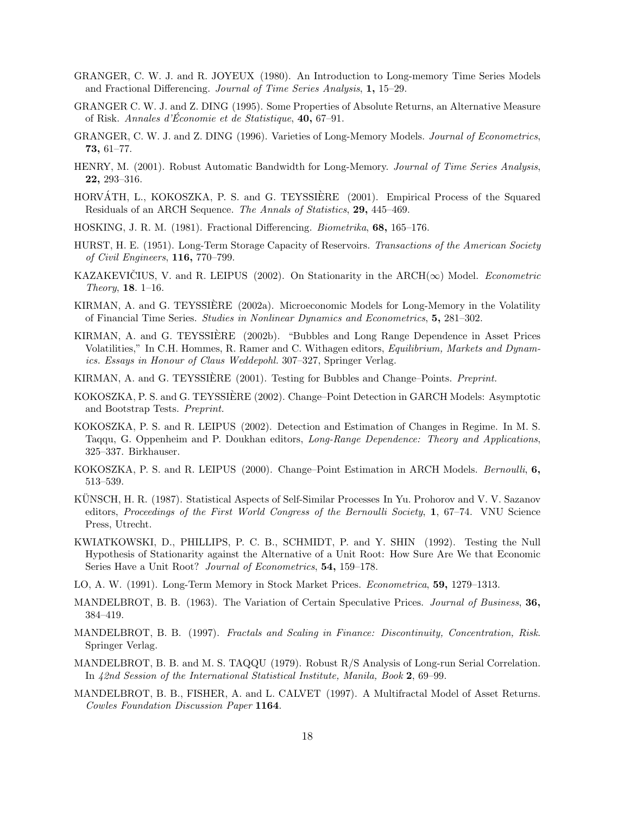- GRANGER, C. W. J. and R. JOYEUX (1980). An Introduction to Long-memory Time Series Models and Fractional Differencing. *Journal of Time Series Analysis*, 1, 15–29.
- GRANGER C. W. J. and Z. DING (1995). Some Properties of Absolute Returns, an Alternative Measure of Risk. *Annales d'Économie et de Statistique*, 40, 67–91.
- GRANGER, C. W. J. and Z. DING (1996). Varieties of Long-Memory Models. *Journal of Econometrics*, 73, 61–77.
- HENRY, M. (2001). Robust Automatic Bandwidth for Long-Memory. *Journal of Time Series Analysis*, 22, 293–316.
- HORVÁTH, L., KOKOSZKA, P. S. and G. TEYSSIÈRE (2001). Empirical Process of the Squared Residuals of an ARCH Sequence. *The Annals of Statistics*, 29, 445–469.
- HOSKING, J. R. M. (1981). Fractional Differencing. *Biometrika*, 68, 165–176.
- HURST, H. E. (1951). Long-Term Storage Capacity of Reservoirs. *Transactions of the American Society of Civil Engineers*, 116, 770–799.
- KAZAKEVICIUS, V. and R. LEIPUS (2002). On Stationarity in the  $\text{ARCH}(\infty)$  Model. *Econometric Theory*, 18. 1–16.
- KIRMAN, A. and G. TEYSSIERE (2002a). Microeconomic Models for Long-Memory in the Volatility ` of Financial Time Series. *Studies in Nonlinear Dynamics and Econometrics*, 5, 281–302.
- KIRMAN, A. and G. TEYSSIERE (2002b). "Bubbles and Long Range Dependence in Asset Prices ` Volatilities," In C.H. Hommes, R. Ramer and C. Withagen editors, *Equilibrium, Markets and Dynamics. Essays in Honour of Claus Weddepohl.* 307–327, Springer Verlag.
- KIRMAN, A. and G. TEYSSIERE (2001). Testing for Bubbles and Change–Points. ` *Preprint.*
- KOKOSZKA, P. S. and G. TEYSSIERE (2002). Change–Point Detection in GARCH Models: Asymptotic ` and Bootstrap Tests. *Preprint.*
- KOKOSZKA, P. S. and R. LEIPUS (2002). Detection and Estimation of Changes in Regime. In M. S. Taqqu, G. Oppenheim and P. Doukhan editors, *Long-Range Dependence: Theory and Applications*, 325–337. Birkhauser.
- KOKOSZKA, P. S. and R. LEIPUS (2000). Change–Point Estimation in ARCH Models. *Bernoulli*, 6, 513–539.
- KUNSCH, H. R. (1987). Statistical Aspects of Self-Similar Processes In Yu. Prohorov and V. V. Sazanov editors, *Proceedings of the First World Congress of the Bernoulli Society*, 1, 67–74. VNU Science Press, Utrecht.
- KWIATKOWSKI, D., PHILLIPS, P. C. B., SCHMIDT, P. and Y. SHIN (1992). Testing the Null Hypothesis of Stationarity against the Alternative of a Unit Root: How Sure Are We that Economic Series Have a Unit Root? *Journal of Econometrics*, 54, 159–178.
- LO, A. W. (1991). Long-Term Memory in Stock Market Prices. *Econometrica*, 59, 1279–1313.
- MANDELBROT, B. B. (1963). The Variation of Certain Speculative Prices. *Journal of Business*, 36, 384–419.
- MANDELBROT, B. B. (1997). *Fractals and Scaling in Finance: Discontinuity, Concentration, Risk*. Springer Verlag.
- MANDELBROT, B. B. and M. S. TAQQU (1979). Robust R/S Analysis of Long-run Serial Correlation. In *42nd Session of the International Statistical Institute, Manila, Book* 2, 69–99.
- MANDELBROT, B. B., FISHER, A. and L. CALVET (1997). A Multifractal Model of Asset Returns. *Cowles Foundation Discussion Paper* 1164.